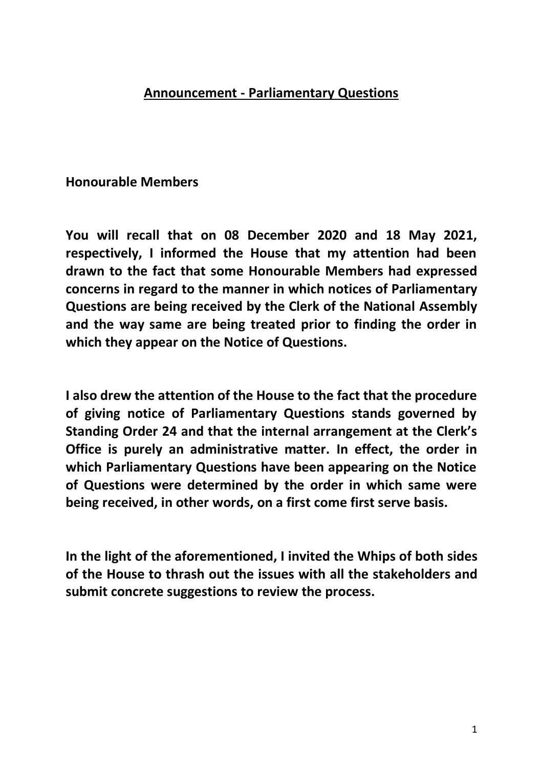## **Announcement - Parliamentary Questions**

## **Honourable Members**

**You will recall that on 08 December 2020 and 18 May 2021, respectively, I informed the House that my attention had been drawn to the fact that some Honourable Members had expressed concerns in regard to the manner in which notices of Parliamentary Questions are being received by the Clerk of the National Assembly and the way same are being treated prior to finding the order in which they appear on the Notice of Questions.** 

**I also drew the attention of the House to the fact that the procedure of giving notice of Parliamentary Questions stands governed by Standing Order 24 and that the internal arrangement at the Clerk's Office is purely an administrative matter. In effect, the order in which Parliamentary Questions have been appearing on the Notice of Questions were determined by the order in which same were being received, in other words, on a first come first serve basis.**

**In the light of the aforementioned, I invited the Whips of both sides of the House to thrash out the issues with all the stakeholders and submit concrete suggestions to review the process.**